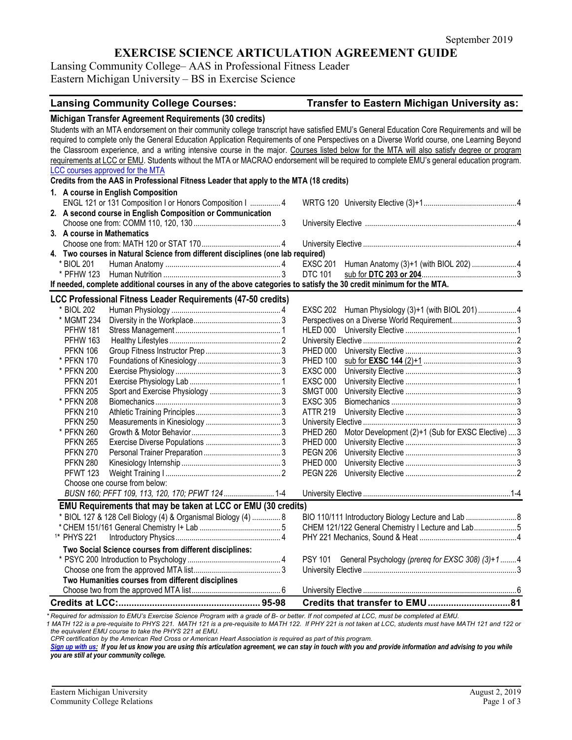## **EXERCISE SCIENCE ARTICULATION AGREEMENT GUIDE**

Lansing Community College– AAS in Professional Fitness Leader Eastern Michigan University – BS in Exercise Science

## **Lansing Community College Courses: Transfer to Eastern Michigan University as:**

|                        | Michigan Transfer Agreement Requirements (30 credits)                                                                      |                 |                                                                                                                                             |  |
|------------------------|----------------------------------------------------------------------------------------------------------------------------|-----------------|---------------------------------------------------------------------------------------------------------------------------------------------|--|
|                        |                                                                                                                            |                 | Students with an MTA endorsement on their community college transcript have satisfied EMU's General Education Core Requirements and will be |  |
|                        |                                                                                                                            |                 | required to complete only the General Education Application Requirements of one Perspectives on a Diverse World course, one Learning Beyond |  |
|                        |                                                                                                                            |                 | the Classroom experience, and a writing intensive course in the major. Courses listed below for the MTA will also satisfy degree or program |  |
|                        |                                                                                                                            |                 | requirements at LCC or EMU. Students without the MTA or MACRAO endorsement will be required to complete EMU's general education program.    |  |
|                        | LCC courses approved for the MTA<br>Credits from the AAS in Professional Fitness Leader that apply to the MTA (18 credits) |                 |                                                                                                                                             |  |
|                        | 1. A course in English Composition                                                                                         |                 |                                                                                                                                             |  |
|                        | ENGL 121 or 131 Composition I or Honors Composition I  4                                                                   |                 |                                                                                                                                             |  |
|                        | 2. A second course in English Composition or Communication                                                                 |                 |                                                                                                                                             |  |
|                        |                                                                                                                            |                 |                                                                                                                                             |  |
|                        | 3. A course in Mathematics                                                                                                 |                 |                                                                                                                                             |  |
|                        |                                                                                                                            |                 |                                                                                                                                             |  |
|                        | 4. Two courses in Natural Science from different disciplines (one lab required)                                            |                 |                                                                                                                                             |  |
| * BIOL 201             |                                                                                                                            | <b>EXSC 201</b> |                                                                                                                                             |  |
|                        |                                                                                                                            | <b>DTC 101</b>  |                                                                                                                                             |  |
|                        | If needed, complete additional courses in any of the above categories to satisfy the 30 credit minimum for the MTA.        |                 |                                                                                                                                             |  |
|                        | <b>LCC Professional Fitness Leader Requirements (47-50 credits)</b>                                                        |                 |                                                                                                                                             |  |
| * BIOL 202             |                                                                                                                            |                 | EXSC 202 Human Physiology (3)+1 (with BIOL 201)  4                                                                                          |  |
| * MGMT 234             |                                                                                                                            |                 |                                                                                                                                             |  |
| <b>PFHW 181</b>        |                                                                                                                            | HLED 000        |                                                                                                                                             |  |
| <b>PFHW 163</b>        |                                                                                                                            |                 |                                                                                                                                             |  |
| <b>PFKN 106</b>        |                                                                                                                            |                 |                                                                                                                                             |  |
| * PFKN 170             |                                                                                                                            | <b>PHED 100</b> |                                                                                                                                             |  |
| * PFKN 200             |                                                                                                                            | <b>EXSC 000</b> |                                                                                                                                             |  |
| <b>PFKN 201</b>        |                                                                                                                            | <b>EXSC 000</b> |                                                                                                                                             |  |
| <b>PFKN 205</b>        |                                                                                                                            | SMGT 000        |                                                                                                                                             |  |
| * PFKN 208             |                                                                                                                            | <b>EXSC 305</b> |                                                                                                                                             |  |
| <b>PFKN 210</b>        |                                                                                                                            | <b>ATTR 219</b> |                                                                                                                                             |  |
| <b>PFKN 250</b>        |                                                                                                                            |                 |                                                                                                                                             |  |
| * PFKN 260             |                                                                                                                            | <b>PHED 260</b> | Motor Development (2)+1 (Sub for EXSC Elective)  3                                                                                          |  |
| <b>PFKN 265</b>        |                                                                                                                            | <b>PHED 000</b> |                                                                                                                                             |  |
| <b>PFKN 270</b>        |                                                                                                                            | <b>PEGN 206</b> |                                                                                                                                             |  |
| <b>PFKN 280</b>        |                                                                                                                            | <b>PHED 000</b> |                                                                                                                                             |  |
| <b>PFWT 123</b>        |                                                                                                                            | <b>PEGN 226</b> |                                                                                                                                             |  |
|                        | Choose one course from below:                                                                                              |                 |                                                                                                                                             |  |
|                        | BUSN 160; PFFT 109, 113, 120, 170; PFWT 124 1-4                                                                            |                 |                                                                                                                                             |  |
|                        | EMU Requirements that may be taken at LCC or EMU (30 credits)                                                              |                 |                                                                                                                                             |  |
|                        | * BIOL 127 & 128 Cell Biology (4) & Organismal Biology (4)  8                                                              |                 | BIO 110/111 Introductory Biology Lecture and Lab  8                                                                                         |  |
|                        |                                                                                                                            |                 | CHEM 121/122 General Chemistry I Lecture and Lab5                                                                                           |  |
| <sup>1*</sup> PHYS 221 |                                                                                                                            |                 |                                                                                                                                             |  |
|                        | Two Social Science courses from different disciplines:                                                                     |                 |                                                                                                                                             |  |
|                        |                                                                                                                            | <b>PSY 101</b>  | General Psychology (prereq for EXSC 308) (3)+14                                                                                             |  |
|                        |                                                                                                                            |                 |                                                                                                                                             |  |
|                        | Two Humanities courses from different disciplines                                                                          |                 |                                                                                                                                             |  |
|                        |                                                                                                                            |                 |                                                                                                                                             |  |
|                        |                                                                                                                            |                 |                                                                                                                                             |  |

*\* Required for admission to EMU's Exercise Science Program with a grade of B- or better. If not competed at LCC, must be completed at EMU.* 

*1 MATH 122 is a pre-requisite to PHYS 221. MATH 121 is a pre-requisite to MATH 122. If PHY 221 is not taken at LCC, students must have MATH 121 and 122 or the equivalent EMU course to take the PHYS 221 at EMU.*

*CPR certification by the American Red Cross or American Heart Association is required as part of this program.*

*[Sign up with us:](http://www.emich.edu/ccr/articulation-agreements/signup.php) If you let us know you are using this articulation agreement, we can stay in touch with you and provide information and advising to you while you are still at your community college.*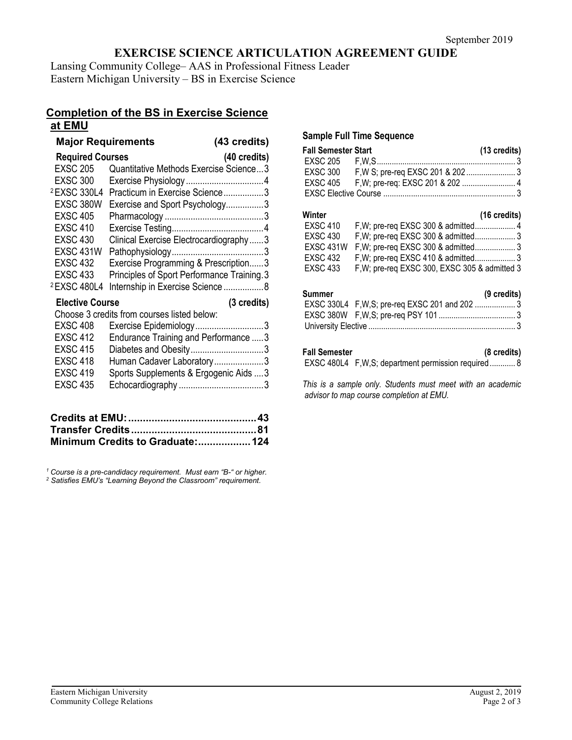# **EXERCISE SCIENCE ARTICULATION AGREEMENT GUIDE**

Lansing Community College– AAS in Professional Fitness Leader Eastern Michigan University – BS in Exercise Science

## **Completion of the BS in Exercise Science at EMU**

| <b>Major Requirements</b> |                                             | (43 credits)          |  |  |  |
|---------------------------|---------------------------------------------|-----------------------|--|--|--|
| <b>Required Courses</b>   |                                             | (40 credits)          |  |  |  |
| <b>EXSC 205</b>           | Quantitative Methods Exercise Science3      |                       |  |  |  |
| <b>EXSC 300</b>           |                                             |                       |  |  |  |
| <sup>2</sup> EXSC 330L4   | Practicum in Exercise Science3              |                       |  |  |  |
| EXSC 380W                 | Exercise and Sport Psychology3              |                       |  |  |  |
| <b>EXSC 405</b>           |                                             |                       |  |  |  |
| <b>EXSC 410</b>           |                                             |                       |  |  |  |
| <b>EXSC 430</b>           | Clinical Exercise Electrocardiography3      |                       |  |  |  |
| <b>EXSC 431W</b>          |                                             |                       |  |  |  |
| <b>EXSC 432</b>           | Exercise Programming & Prescription3        |                       |  |  |  |
| <b>EXSC 433</b>           | Principles of Sport Performance Training. 3 |                       |  |  |  |
| <sup>2</sup> EXSC 480L4   | Internship in Exercise Science8             |                       |  |  |  |
| <b>Elective Course</b>    |                                             | $(3 \text{ credits})$ |  |  |  |
|                           | Choose 3 credits from courses listed below: |                       |  |  |  |
| <b>EXSC 408</b>           | Exercise Epidemiology3                      |                       |  |  |  |
| <b>EXSC 412</b>           | Endurance Training and Performance  3       |                       |  |  |  |
| <b>EXSC 415</b>           | Diabetes and Obesity3                       |                       |  |  |  |
| <b>EXSC 418</b>           | Human Cadaver Laboratory3                   |                       |  |  |  |
| <b>EXSC 419</b>           | Sports Supplements & Ergogenic Aids  3      |                       |  |  |  |
| <b>EXSC 435</b>           |                                             |                       |  |  |  |
|                           |                                             |                       |  |  |  |
|                           |                                             |                       |  |  |  |
|                           |                                             |                       |  |  |  |
|                           |                                             |                       |  |  |  |

*<sup>1</sup> Course is a pre-candidacy requirement. Must earn "B-" or higher. 2 Satisfies EMU's "Learning Beyond the Classroom" requirement.*

**Minimum Credits to Graduate:..................124**

#### **Sample Full Time Sequence**

| <b>Fall Semester Start</b> | (13 credits) |
|----------------------------|--------------|
|                            |              |
|                            |              |
|                            |              |
|                            |              |

#### **Winter (16 credits)**

| ,,,,,,,,         | $110$ vitules                                 |  |
|------------------|-----------------------------------------------|--|
| EXSC 410         |                                               |  |
| EXSC 430         |                                               |  |
| <b>EXSC 431W</b> |                                               |  |
| EXSC 432         |                                               |  |
| <b>EXSC 433</b>  | F, W; pre-req EXSC 300, EXSC 305 & admitted 3 |  |
|                  |                                               |  |

#### **Summer (9 credits)**

#### **Fall Semester (8 credits)**

EXSC 480L4 F,W,S; department permission required............ 8

*This is a sample only. Students must meet with an academic advisor to map course completion at EMU.*